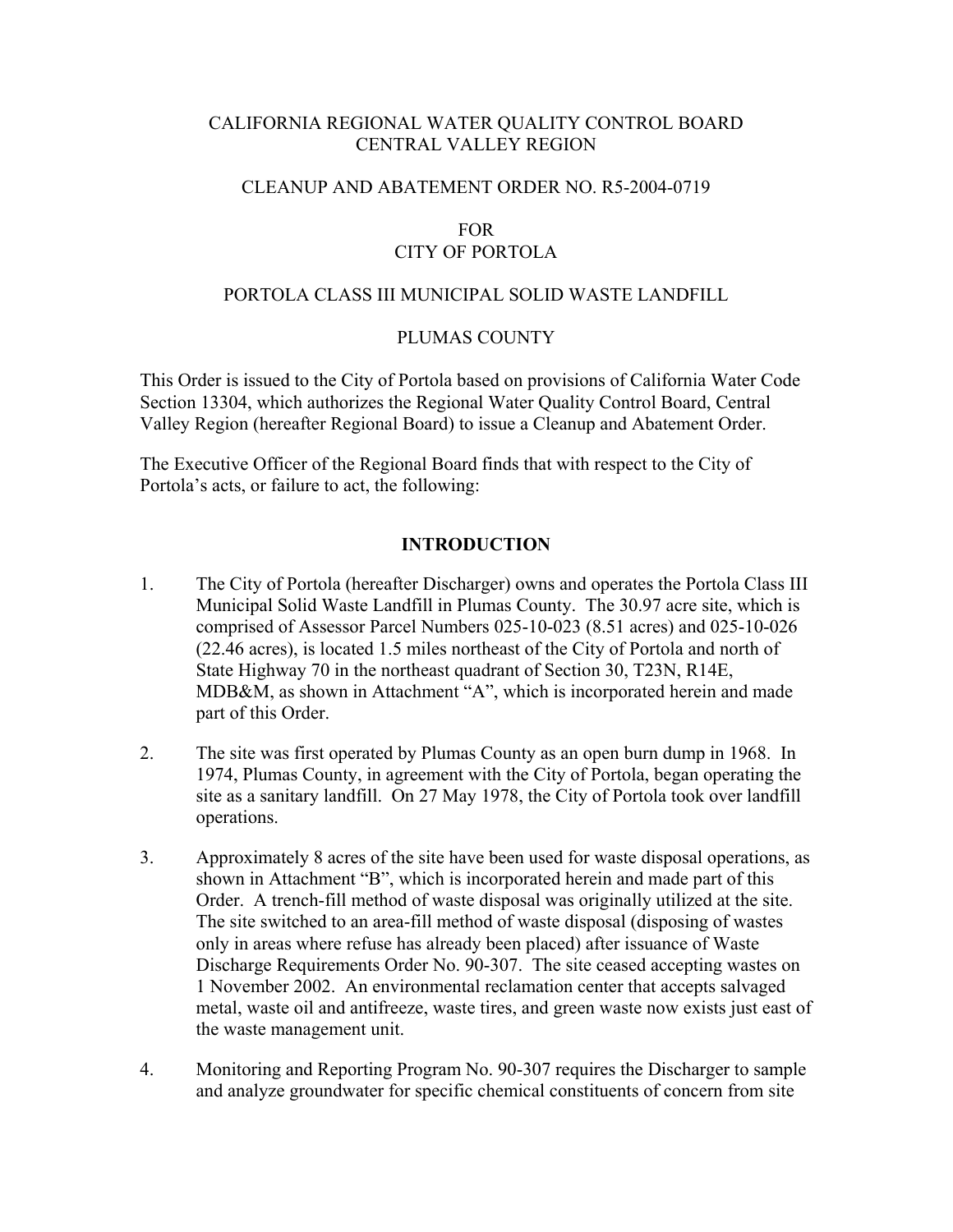# CALIFORNIA REGIONAL WATER QUALITY CONTROL BOARD CENTRAL VALLEY REGION

## CLEANUP AND ABATEMENT ORDER NO. R5-2004-0719

## FOR CITY OF PORTOLA

### PORTOLA CLASS III MUNICIPAL SOLID WASTE LANDFILL

#### PLUMAS COUNTY

This Order is issued to the City of Portola based on provisions of California Water Code Section 13304, which authorizes the Regional Water Quality Control Board, Central Valley Region (hereafter Regional Board) to issue a Cleanup and Abatement Order.

The Executive Officer of the Regional Board finds that with respect to the City of Portola's acts, or failure to act, the following:

## **INTRODUCTION**

- 1. The City of Portola (hereafter Discharger) owns and operates the Portola Class III Municipal Solid Waste Landfill in Plumas County. The 30.97 acre site, which is comprised of Assessor Parcel Numbers 025-10-023 (8.51 acres) and 025-10-026 (22.46 acres), is located 1.5 miles northeast of the City of Portola and north of State Highway 70 in the northeast quadrant of Section 30, T23N, R14E, MDB&M, as shown in Attachment "A", which is incorporated herein and made part of this Order.
- 2. The site was first operated by Plumas County as an open burn dump in 1968. In 1974, Plumas County, in agreement with the City of Portola, began operating the site as a sanitary landfill. On 27 May 1978, the City of Portola took over landfill operations.
- 3. Approximately 8 acres of the site have been used for waste disposal operations, as shown in Attachment "B", which is incorporated herein and made part of this Order. A trench-fill method of waste disposal was originally utilized at the site. The site switched to an area-fill method of waste disposal (disposing of wastes only in areas where refuse has already been placed) after issuance of Waste Discharge Requirements Order No. 90-307. The site ceased accepting wastes on 1 November 2002. An environmental reclamation center that accepts salvaged metal, waste oil and antifreeze, waste tires, and green waste now exists just east of the waste management unit.
- 4. Monitoring and Reporting Program No. 90-307 requires the Discharger to sample and analyze groundwater for specific chemical constituents of concern from site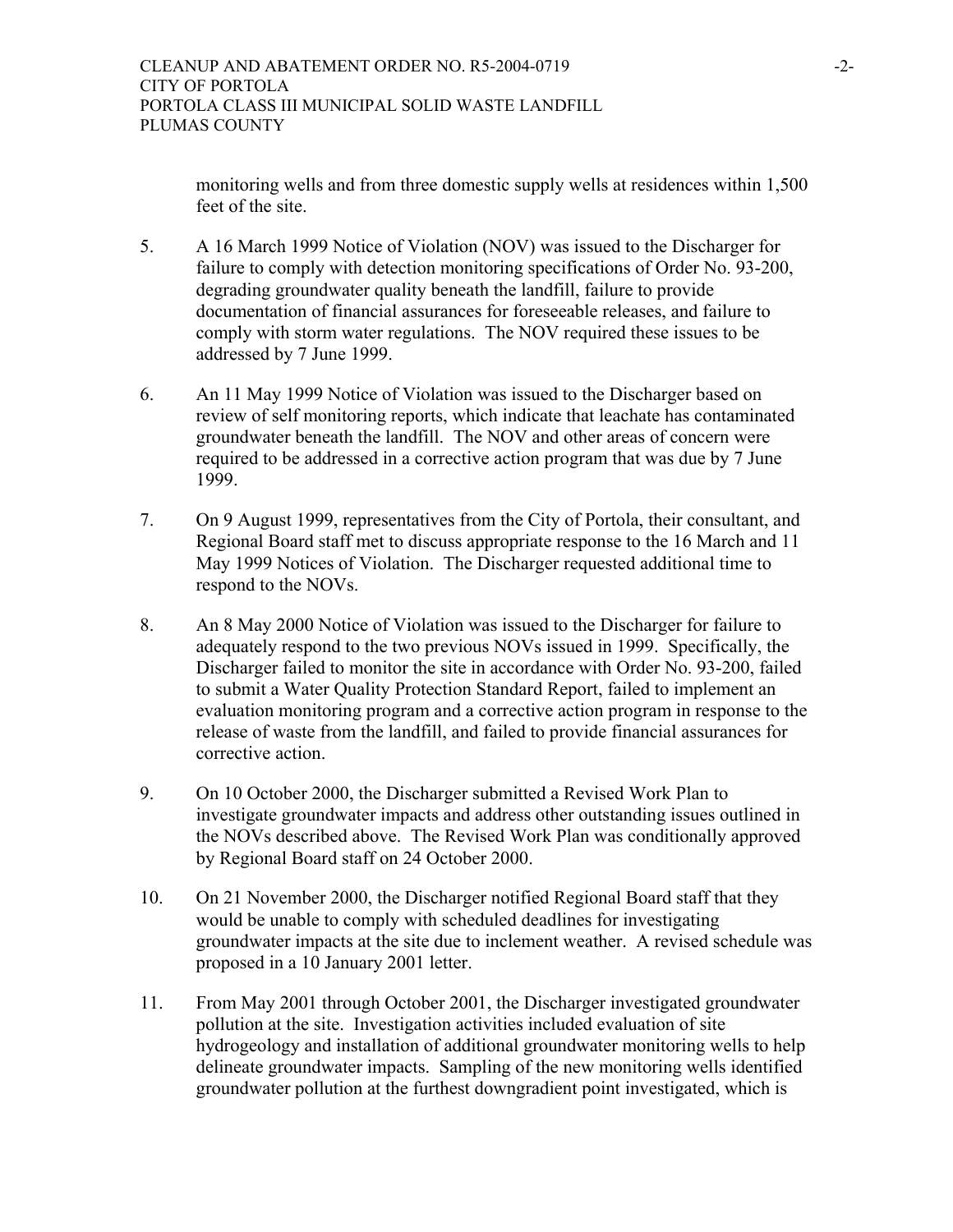monitoring wells and from three domestic supply wells at residences within 1,500 feet of the site.

- 5. A 16 March 1999 Notice of Violation (NOV) was issued to the Discharger for failure to comply with detection monitoring specifications of Order No. 93-200, degrading groundwater quality beneath the landfill, failure to provide documentation of financial assurances for foreseeable releases, and failure to comply with storm water regulations. The NOV required these issues to be addressed by 7 June 1999.
- 6. An 11 May 1999 Notice of Violation was issued to the Discharger based on review of self monitoring reports, which indicate that leachate has contaminated groundwater beneath the landfill. The NOV and other areas of concern were required to be addressed in a corrective action program that was due by 7 June 1999.
- 7. On 9 August 1999, representatives from the City of Portola, their consultant, and Regional Board staff met to discuss appropriate response to the 16 March and 11 May 1999 Notices of Violation. The Discharger requested additional time to respond to the NOVs.
- 8. An 8 May 2000 Notice of Violation was issued to the Discharger for failure to adequately respond to the two previous NOVs issued in 1999. Specifically, the Discharger failed to monitor the site in accordance with Order No. 93-200, failed to submit a Water Quality Protection Standard Report, failed to implement an evaluation monitoring program and a corrective action program in response to the release of waste from the landfill, and failed to provide financial assurances for corrective action.
- 9. On 10 October 2000, the Discharger submitted a Revised Work Plan to investigate groundwater impacts and address other outstanding issues outlined in the NOVs described above. The Revised Work Plan was conditionally approved by Regional Board staff on 24 October 2000.
- 10. On 21 November 2000, the Discharger notified Regional Board staff that they would be unable to comply with scheduled deadlines for investigating groundwater impacts at the site due to inclement weather. A revised schedule was proposed in a 10 January 2001 letter.
- 11. From May 2001 through October 2001, the Discharger investigated groundwater pollution at the site. Investigation activities included evaluation of site hydrogeology and installation of additional groundwater monitoring wells to help delineate groundwater impacts. Sampling of the new monitoring wells identified groundwater pollution at the furthest downgradient point investigated, which is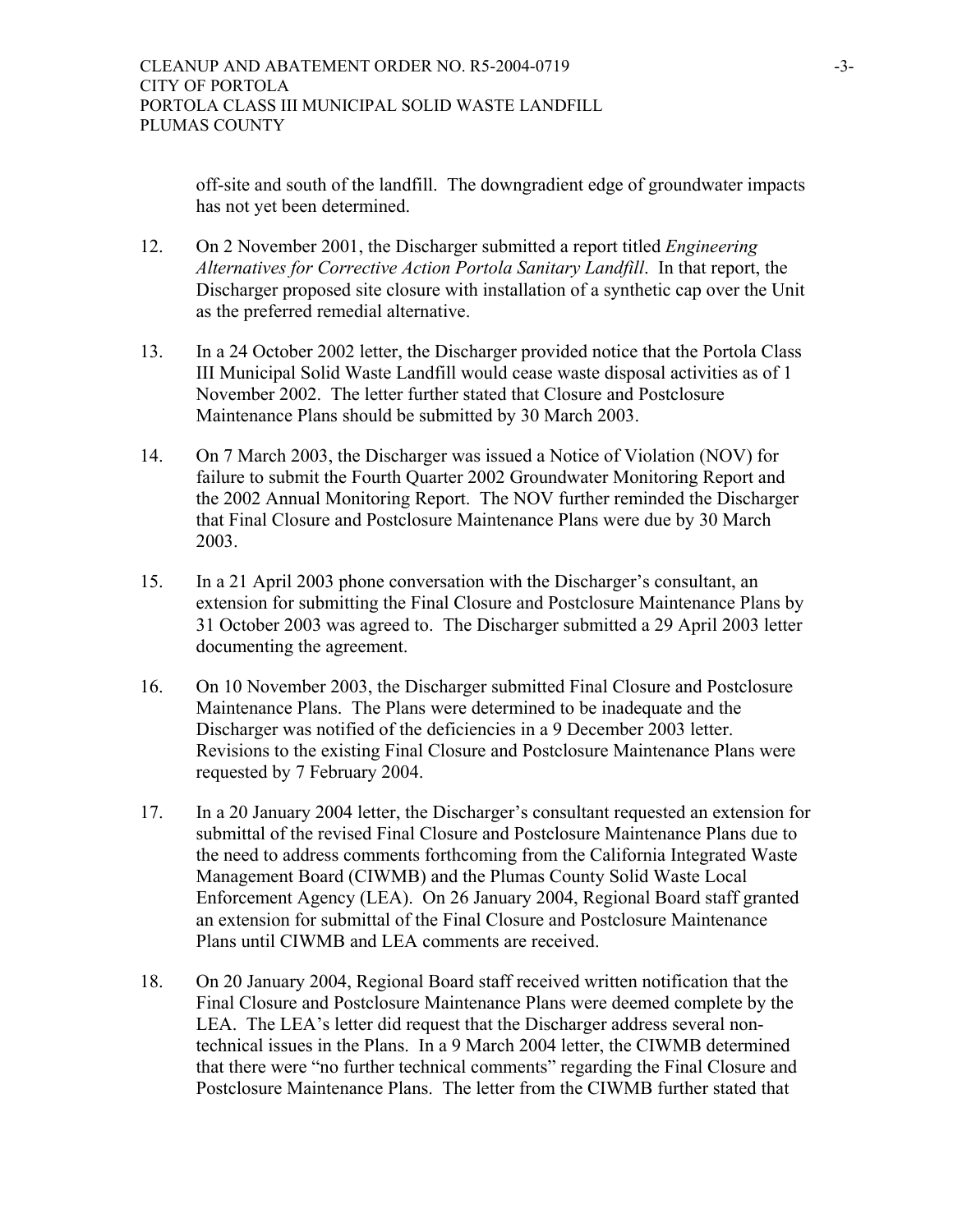off-site and south of the landfill. The downgradient edge of groundwater impacts has not yet been determined.

- 12. On 2 November 2001, the Discharger submitted a report titled *Engineering Alternatives for Corrective Action Portola Sanitary Landfill*. In that report, the Discharger proposed site closure with installation of a synthetic cap over the Unit as the preferred remedial alternative.
- 13. In a 24 October 2002 letter, the Discharger provided notice that the Portola Class III Municipal Solid Waste Landfill would cease waste disposal activities as of 1 November 2002. The letter further stated that Closure and Postclosure Maintenance Plans should be submitted by 30 March 2003.
- 14. On 7 March 2003, the Discharger was issued a Notice of Violation (NOV) for failure to submit the Fourth Quarter 2002 Groundwater Monitoring Report and the 2002 Annual Monitoring Report. The NOV further reminded the Discharger that Final Closure and Postclosure Maintenance Plans were due by 30 March 2003.
- 15. In a 21 April 2003 phone conversation with the Discharger's consultant, an extension for submitting the Final Closure and Postclosure Maintenance Plans by 31 October 2003 was agreed to. The Discharger submitted a 29 April 2003 letter documenting the agreement.
- 16. On 10 November 2003, the Discharger submitted Final Closure and Postclosure Maintenance Plans. The Plans were determined to be inadequate and the Discharger was notified of the deficiencies in a 9 December 2003 letter. Revisions to the existing Final Closure and Postclosure Maintenance Plans were requested by 7 February 2004.
- 17. In a 20 January 2004 letter, the Discharger's consultant requested an extension for submittal of the revised Final Closure and Postclosure Maintenance Plans due to the need to address comments forthcoming from the California Integrated Waste Management Board (CIWMB) and the Plumas County Solid Waste Local Enforcement Agency (LEA). On 26 January 2004, Regional Board staff granted an extension for submittal of the Final Closure and Postclosure Maintenance Plans until CIWMB and LEA comments are received.
- 18. On 20 January 2004, Regional Board staff received written notification that the Final Closure and Postclosure Maintenance Plans were deemed complete by the LEA. The LEA's letter did request that the Discharger address several nontechnical issues in the Plans. In a 9 March 2004 letter, the CIWMB determined that there were "no further technical comments" regarding the Final Closure and Postclosure Maintenance Plans. The letter from the CIWMB further stated that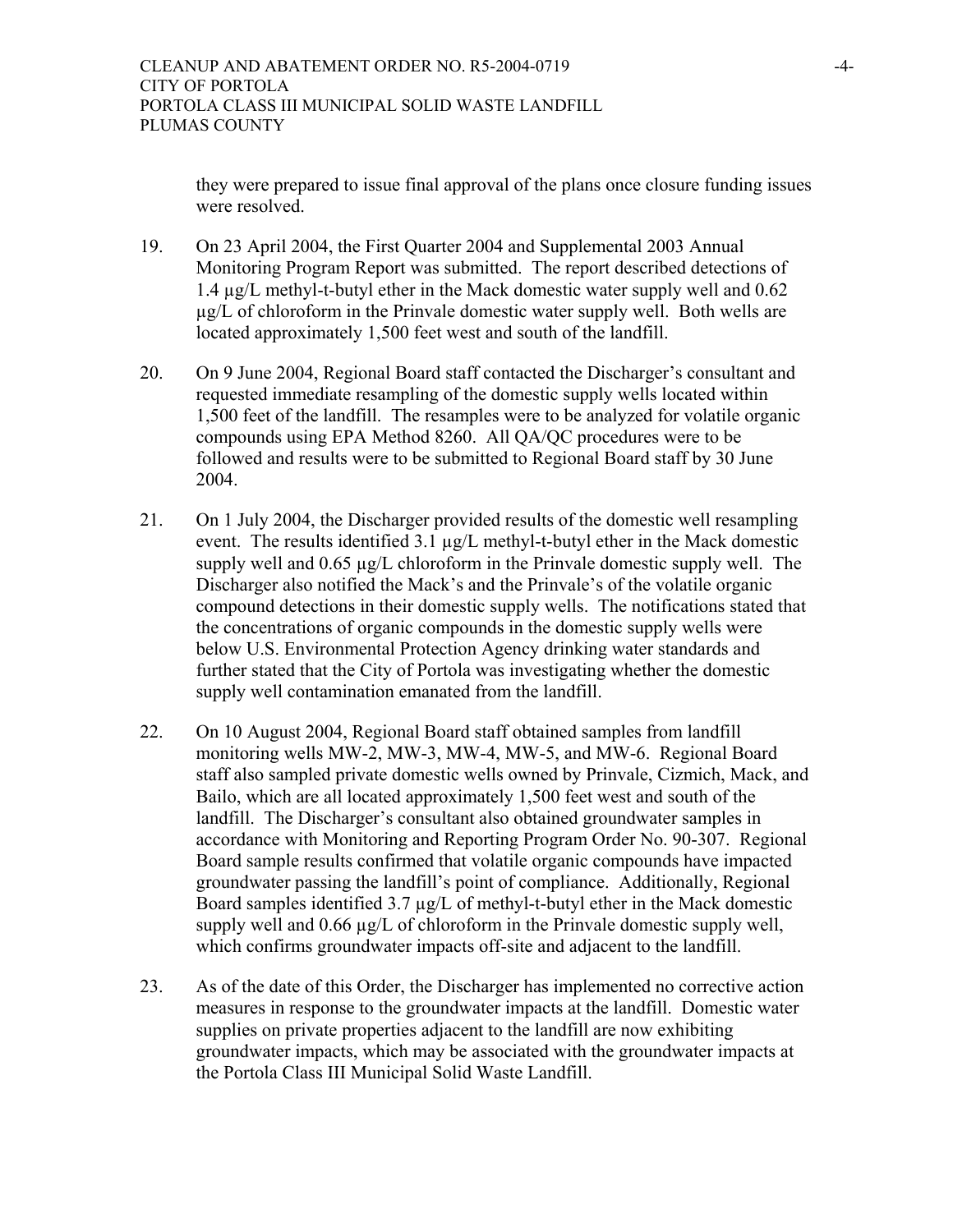they were prepared to issue final approval of the plans once closure funding issues were resolved.

- 19. On 23 April 2004, the First Quarter 2004 and Supplemental 2003 Annual Monitoring Program Report was submitted. The report described detections of 1.4 µg/L methyl-t-butyl ether in the Mack domestic water supply well and 0.62 µg/L of chloroform in the Prinvale domestic water supply well. Both wells are located approximately 1,500 feet west and south of the landfill.
- 20. On 9 June 2004, Regional Board staff contacted the Discharger's consultant and requested immediate resampling of the domestic supply wells located within 1,500 feet of the landfill. The resamples were to be analyzed for volatile organic compounds using EPA Method 8260. All QA/QC procedures were to be followed and results were to be submitted to Regional Board staff by 30 June 2004.
- 21. On 1 July 2004, the Discharger provided results of the domestic well resampling event. The results identified 3.1 µg/L methyl-t-butyl ether in the Mack domestic supply well and 0.65  $\mu$ g/L chloroform in the Prinvale domestic supply well. The Discharger also notified the Mack's and the Prinvale's of the volatile organic compound detections in their domestic supply wells. The notifications stated that the concentrations of organic compounds in the domestic supply wells were below U.S. Environmental Protection Agency drinking water standards and further stated that the City of Portola was investigating whether the domestic supply well contamination emanated from the landfill.
- 22. On 10 August 2004, Regional Board staff obtained samples from landfill monitoring wells MW-2, MW-3, MW-4, MW-5, and MW-6. Regional Board staff also sampled private domestic wells owned by Prinvale, Cizmich, Mack, and Bailo, which are all located approximately 1,500 feet west and south of the landfill. The Discharger's consultant also obtained groundwater samples in accordance with Monitoring and Reporting Program Order No. 90-307. Regional Board sample results confirmed that volatile organic compounds have impacted groundwater passing the landfill's point of compliance. Additionally, Regional Board samples identified  $3.7 \mu g/L$  of methyl-t-butyl ether in the Mack domestic supply well and 0.66  $\mu$ g/L of chloroform in the Prinvale domestic supply well, which confirms groundwater impacts off-site and adjacent to the landfill.
- 23. As of the date of this Order, the Discharger has implemented no corrective action measures in response to the groundwater impacts at the landfill. Domestic water supplies on private properties adjacent to the landfill are now exhibiting groundwater impacts, which may be associated with the groundwater impacts at the Portola Class III Municipal Solid Waste Landfill.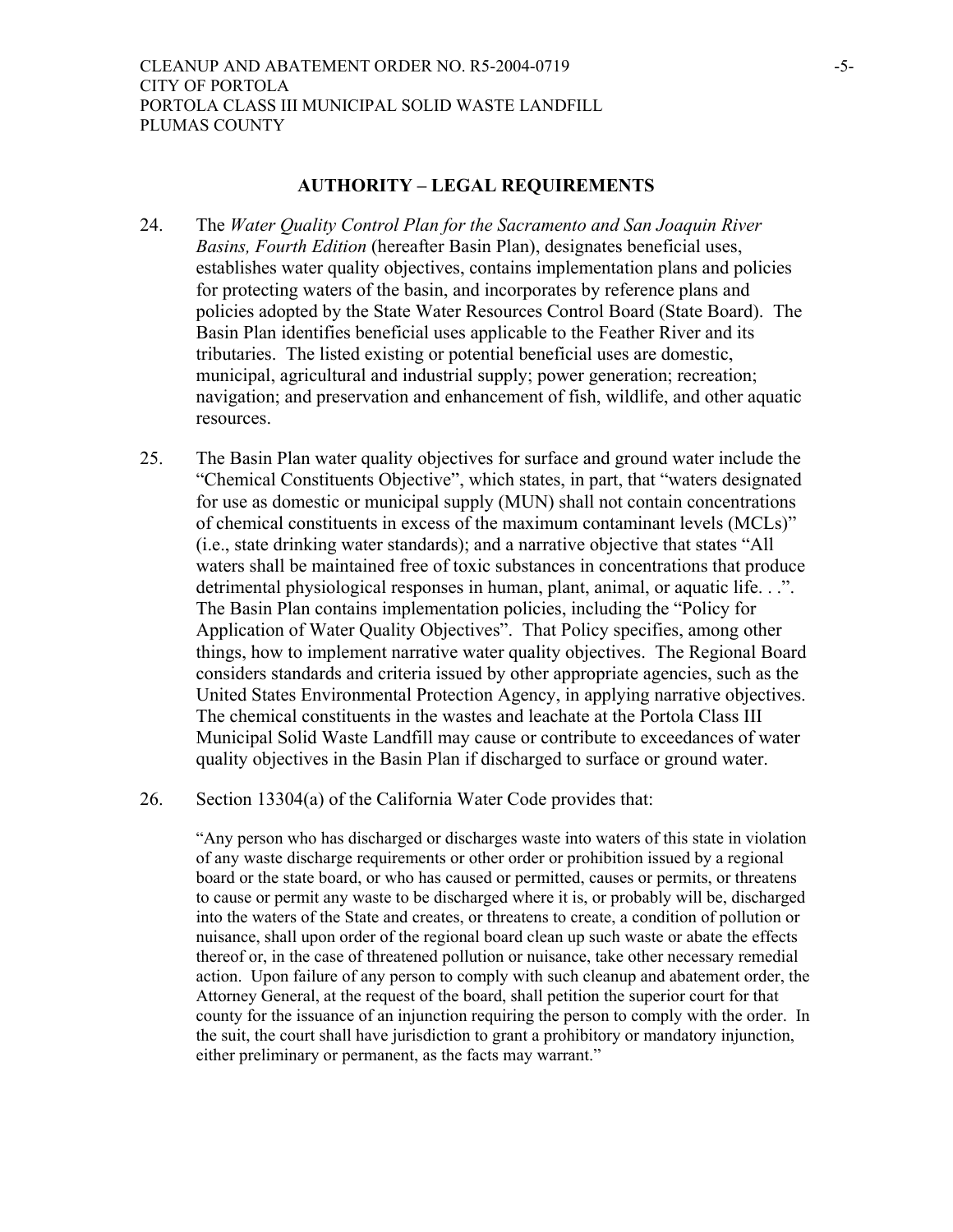#### **AUTHORITY – LEGAL REQUIREMENTS**

- 24. The *Water Quality Control Plan for the Sacramento and San Joaquin River Basins, Fourth Edition* (hereafter Basin Plan), designates beneficial uses, establishes water quality objectives, contains implementation plans and policies for protecting waters of the basin, and incorporates by reference plans and policies adopted by the State Water Resources Control Board (State Board). The Basin Plan identifies beneficial uses applicable to the Feather River and its tributaries. The listed existing or potential beneficial uses are domestic, municipal, agricultural and industrial supply; power generation; recreation; navigation; and preservation and enhancement of fish, wildlife, and other aquatic resources.
- 25. The Basin Plan water quality objectives for surface and ground water include the "Chemical Constituents Objective", which states, in part, that "waters designated for use as domestic or municipal supply (MUN) shall not contain concentrations of chemical constituents in excess of the maximum contaminant levels (MCLs)" (i.e., state drinking water standards); and a narrative objective that states "All waters shall be maintained free of toxic substances in concentrations that produce detrimental physiological responses in human, plant, animal, or aquatic life. . .". The Basin Plan contains implementation policies, including the "Policy for Application of Water Quality Objectives". That Policy specifies, among other things, how to implement narrative water quality objectives. The Regional Board considers standards and criteria issued by other appropriate agencies, such as the United States Environmental Protection Agency, in applying narrative objectives. The chemical constituents in the wastes and leachate at the Portola Class III Municipal Solid Waste Landfill may cause or contribute to exceedances of water quality objectives in the Basin Plan if discharged to surface or ground water.
- 26. Section 13304(a) of the California Water Code provides that:

"Any person who has discharged or discharges waste into waters of this state in violation of any waste discharge requirements or other order or prohibition issued by a regional board or the state board, or who has caused or permitted, causes or permits, or threatens to cause or permit any waste to be discharged where it is, or probably will be, discharged into the waters of the State and creates, or threatens to create, a condition of pollution or nuisance, shall upon order of the regional board clean up such waste or abate the effects thereof or, in the case of threatened pollution or nuisance, take other necessary remedial action. Upon failure of any person to comply with such cleanup and abatement order, the Attorney General, at the request of the board, shall petition the superior court for that county for the issuance of an injunction requiring the person to comply with the order. In the suit, the court shall have jurisdiction to grant a prohibitory or mandatory injunction, either preliminary or permanent, as the facts may warrant."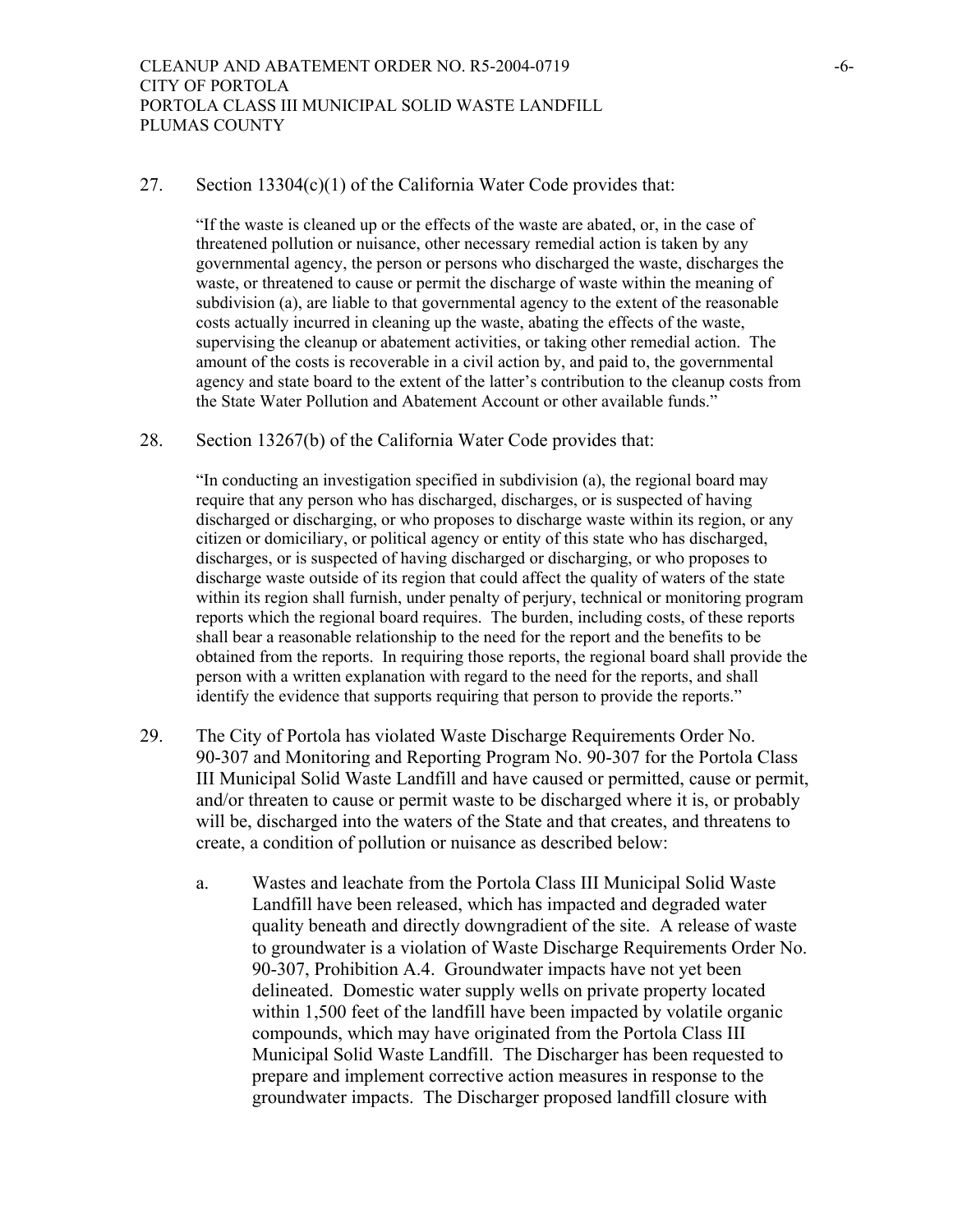#### 27. Section 13304(c)(1) of the California Water Code provides that:

"If the waste is cleaned up or the effects of the waste are abated, or, in the case of threatened pollution or nuisance, other necessary remedial action is taken by any governmental agency, the person or persons who discharged the waste, discharges the waste, or threatened to cause or permit the discharge of waste within the meaning of subdivision (a), are liable to that governmental agency to the extent of the reasonable costs actually incurred in cleaning up the waste, abating the effects of the waste, supervising the cleanup or abatement activities, or taking other remedial action. The amount of the costs is recoverable in a civil action by, and paid to, the governmental agency and state board to the extent of the latter's contribution to the cleanup costs from the State Water Pollution and Abatement Account or other available funds."

#### 28. Section 13267(b) of the California Water Code provides that:

"In conducting an investigation specified in subdivision (a), the regional board may require that any person who has discharged, discharges, or is suspected of having discharged or discharging, or who proposes to discharge waste within its region, or any citizen or domiciliary, or political agency or entity of this state who has discharged, discharges, or is suspected of having discharged or discharging, or who proposes to discharge waste outside of its region that could affect the quality of waters of the state within its region shall furnish, under penalty of perjury, technical or monitoring program reports which the regional board requires. The burden, including costs, of these reports shall bear a reasonable relationship to the need for the report and the benefits to be obtained from the reports. In requiring those reports, the regional board shall provide the person with a written explanation with regard to the need for the reports, and shall identify the evidence that supports requiring that person to provide the reports."

- 29. The City of Portola has violated Waste Discharge Requirements Order No. 90-307 and Monitoring and Reporting Program No. 90-307 for the Portola Class III Municipal Solid Waste Landfill and have caused or permitted, cause or permit, and/or threaten to cause or permit waste to be discharged where it is, or probably will be, discharged into the waters of the State and that creates, and threatens to create, a condition of pollution or nuisance as described below:
	- a. Wastes and leachate from the Portola Class III Municipal Solid Waste Landfill have been released, which has impacted and degraded water quality beneath and directly downgradient of the site. A release of waste to groundwater is a violation of Waste Discharge Requirements Order No. 90-307, Prohibition A.4. Groundwater impacts have not yet been delineated. Domestic water supply wells on private property located within 1,500 feet of the landfill have been impacted by volatile organic compounds, which may have originated from the Portola Class III Municipal Solid Waste Landfill. The Discharger has been requested to prepare and implement corrective action measures in response to the groundwater impacts. The Discharger proposed landfill closure with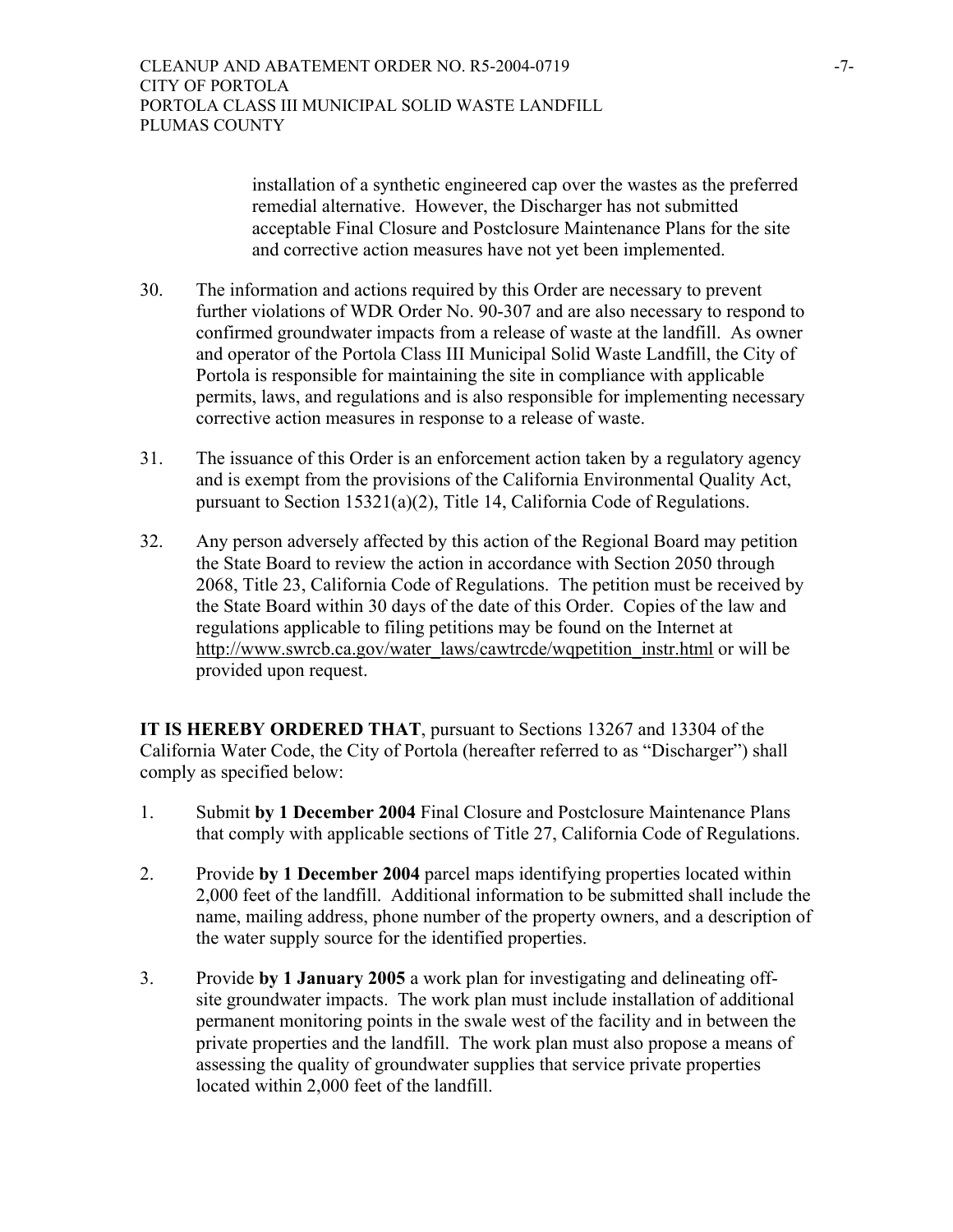installation of a synthetic engineered cap over the wastes as the preferred remedial alternative. However, the Discharger has not submitted acceptable Final Closure and Postclosure Maintenance Plans for the site and corrective action measures have not yet been implemented.

- 30. The information and actions required by this Order are necessary to prevent further violations of WDR Order No. 90-307 and are also necessary to respond to confirmed groundwater impacts from a release of waste at the landfill. As owner and operator of the Portola Class III Municipal Solid Waste Landfill, the City of Portola is responsible for maintaining the site in compliance with applicable permits, laws, and regulations and is also responsible for implementing necessary corrective action measures in response to a release of waste.
- 31. The issuance of this Order is an enforcement action taken by a regulatory agency and is exempt from the provisions of the California Environmental Quality Act, pursuant to Section 15321(a)(2), Title 14, California Code of Regulations.
- 32. Any person adversely affected by this action of the Regional Board may petition the State Board to review the action in accordance with Section 2050 through 2068, Title 23, California Code of Regulations. The petition must be received by the State Board within 30 days of the date of this Order. Copies of the law and regulations applicable to filing petitions may be found on the Internet at http://www.swrcb.ca.gov/water\_laws/cawtrcde/wqpetition\_instr.html or will be provided upon request.

**IT IS HEREBY ORDERED THAT**, pursuant to Sections 13267 and 13304 of the California Water Code, the City of Portola (hereafter referred to as "Discharger") shall comply as specified below:

- 1. Submit **by 1 December 2004** Final Closure and Postclosure Maintenance Plans that comply with applicable sections of Title 27, California Code of Regulations.
- 2. Provide **by 1 December 2004** parcel maps identifying properties located within 2,000 feet of the landfill. Additional information to be submitted shall include the name, mailing address, phone number of the property owners, and a description of the water supply source for the identified properties.
- 3. Provide **by 1 January 2005** a work plan for investigating and delineating off site groundwater impacts. The work plan must include installation of additional permanent monitoring points in the swale west of the facility and in between the private properties and the landfill. The work plan must also propose a means of assessing the quality of groundwater supplies that service private properties located within 2,000 feet of the landfill.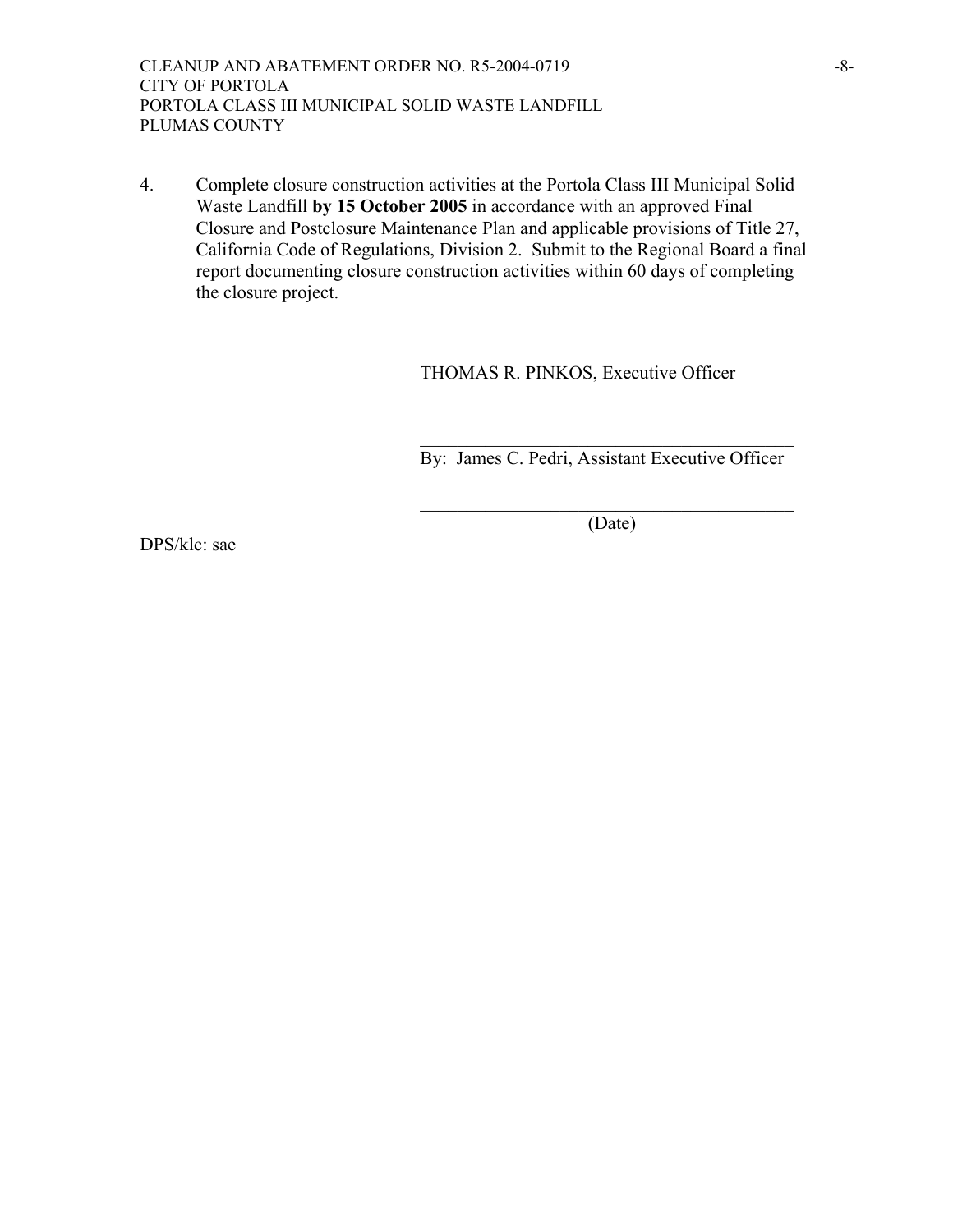CLEANUP AND ABATEMENT ORDER NO. R5-2004-0719 -8-CITY OF PORTOLA PORTOLA CLASS III MUNICIPAL SOLID WASTE LANDFILL PLUMAS COUNTY

4. Complete closure construction activities at the Portola Class III Municipal Solid Waste Landfill **by 15 October 2005** in accordance with an approved Final Closure and Postclosure Maintenance Plan and applicable provisions of Title 27, California Code of Regulations, Division 2. Submit to the Regional Board a final report documenting closure construction activities within 60 days of completing the closure project.

 $\mathcal{L}_\mathcal{L} = \{ \mathcal{L}_\mathcal{L} \mid \mathcal{L}_\mathcal{L} = \{ \mathcal{L}_\mathcal{L} \mid \mathcal{L}_\mathcal{L} = \{ \mathcal{L}_\mathcal{L} \mid \mathcal{L}_\mathcal{L} = \{ \mathcal{L}_\mathcal{L} \mid \mathcal{L}_\mathcal{L} = \{ \mathcal{L}_\mathcal{L} \mid \mathcal{L}_\mathcal{L} = \{ \mathcal{L}_\mathcal{L} \mid \mathcal{L}_\mathcal{L} = \{ \mathcal{L}_\mathcal{L} \mid \mathcal{L}_\mathcal{L} = \{ \math$ 

 $\mathcal{L}_\mathcal{L} = \{ \mathcal{L}_\mathcal{L} \mid \mathcal{L}_\mathcal{L} = \{ \mathcal{L}_\mathcal{L} \mid \mathcal{L}_\mathcal{L} = \{ \mathcal{L}_\mathcal{L} \mid \mathcal{L}_\mathcal{L} = \{ \mathcal{L}_\mathcal{L} \mid \mathcal{L}_\mathcal{L} = \{ \mathcal{L}_\mathcal{L} \mid \mathcal{L}_\mathcal{L} = \{ \mathcal{L}_\mathcal{L} \mid \mathcal{L}_\mathcal{L} = \{ \mathcal{L}_\mathcal{L} \mid \mathcal{L}_\mathcal{L} = \{ \math$ 

THOMAS R. PINKOS, Executive Officer

By: James C. Pedri, Assistant Executive Officer

(Date)

DPS/klc: sae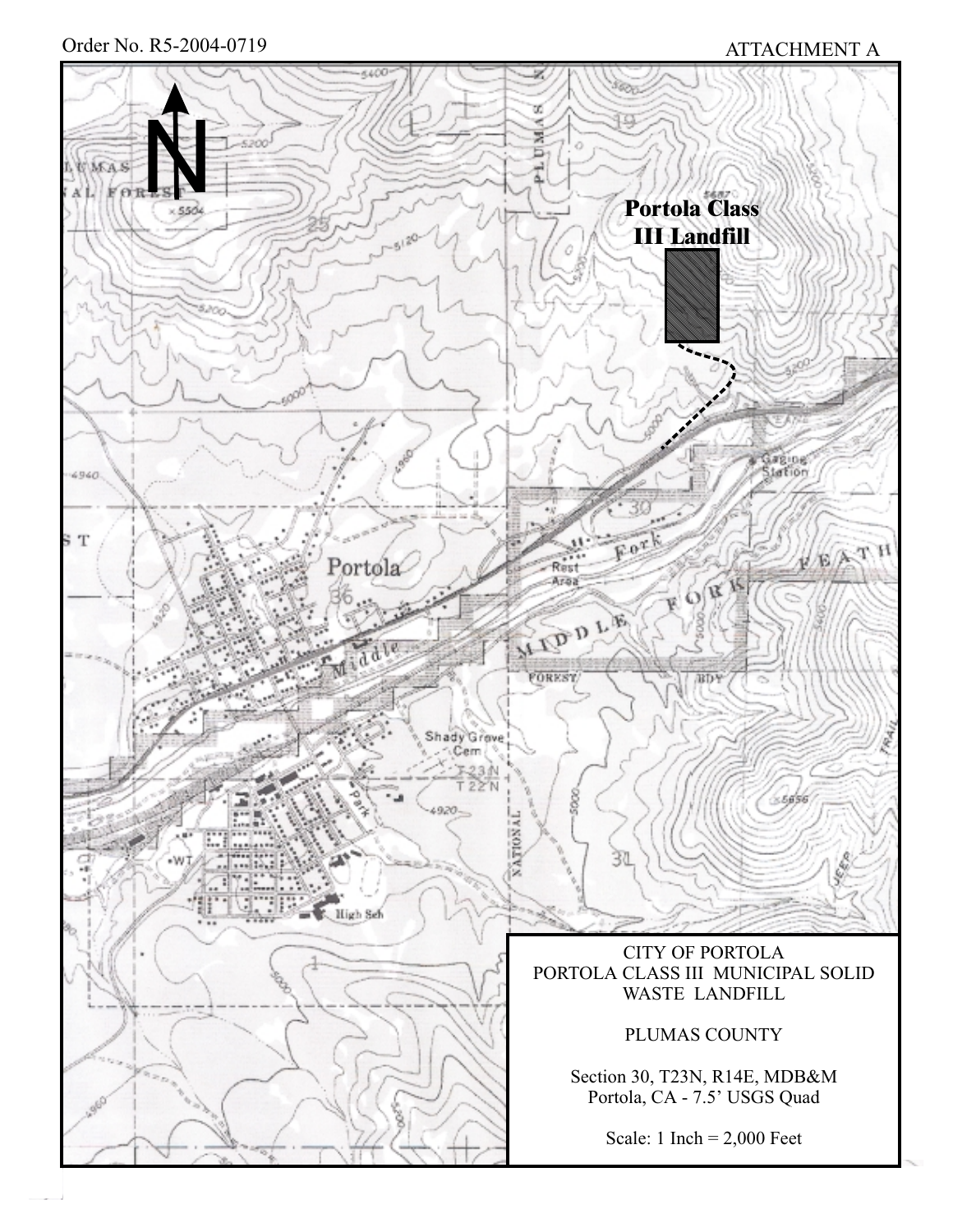Order No. R5-2004-0719

# ATTACHMENT A